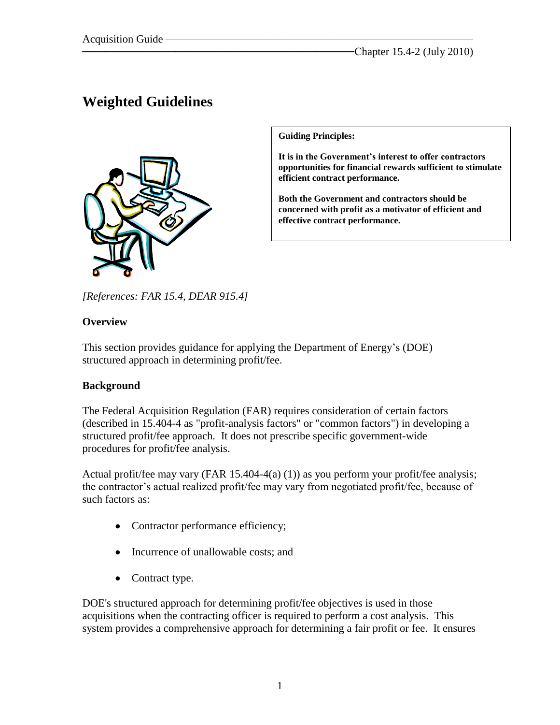# **Weighted Guidelines**



**Guiding Principles:**

**It is in the Government's interest to offer contractors opportunities for financial rewards sufficient to stimulate efficient contract performance.** 

**Both the Government and contractors should be concerned with profit as a motivator of efficient and effective contract performance.**

*[References: FAR 15.4, DEAR 915.4]*

#### **Overview**

This section provides guidance for applying the Department of Energy's (DOE) structured approach in determining profit/fee.

#### **Background**

The Federal Acquisition Regulation (FAR) requires consideration of certain factors (described in 15.404-4 as "profit-analysis factors" or "common factors") in developing a structured profit/fee approach. It does not prescribe specific government-wide procedures for profit/fee analysis.

Actual profit/fee may vary (FAR 15.404-4(a) (1)) as you perform your profit/fee analysis; the contractor's actual realized profit/fee may vary from negotiated profit/fee, because of such factors as:

- Contractor performance efficiency;
- Incurrence of unallowable costs; and
- Contract type.

DOE's structured approach for determining profit/fee objectives is used in those acquisitions when the contracting officer is required to perform a cost analysis. This system provides a comprehensive approach for determining a fair profit or fee. It ensures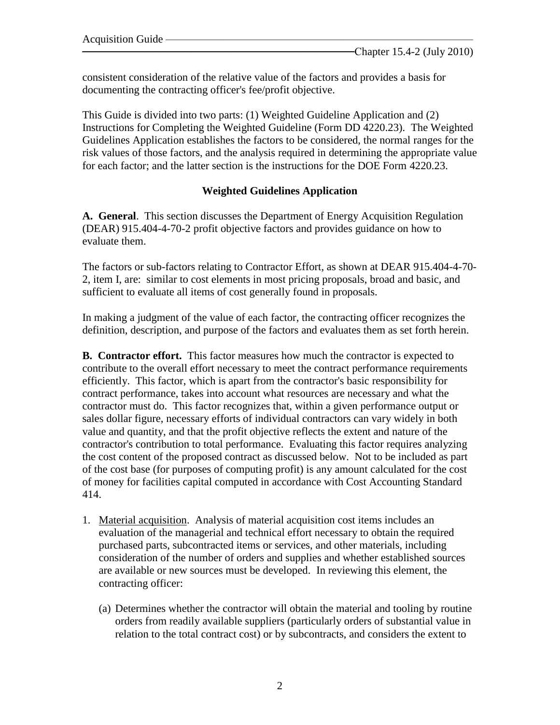consistent consideration of the relative value of the factors and provides a basis for documenting the contracting officer's fee/profit objective.

This Guide is divided into two parts: (1) Weighted Guideline Application and (2) Instructions for Completing the Weighted Guideline (Form DD 4220.23). The Weighted Guidelines Application establishes the factors to be considered, the normal ranges for the risk values of those factors, and the analysis required in determining the appropriate value for each factor; and the latter section is the instructions for the DOE Form 4220.23.

### **Weighted Guidelines Application**

**A. General**. This section discusses the Department of Energy Acquisition Regulation (DEAR) 915.404-4-70-2 profit objective factors and provides guidance on how to evaluate them.

The factors or sub-factors relating to Contractor Effort, as shown at DEAR 915.404-4-70- 2, item I, are: similar to cost elements in most pricing proposals, broad and basic, and sufficient to evaluate all items of cost generally found in proposals.

In making a judgment of the value of each factor, the contracting officer recognizes the definition, description, and purpose of the factors and evaluates them as set forth herein.

**B. Contractor effort.** This factor measures how much the contractor is expected to contribute to the overall effort necessary to meet the contract performance requirements efficiently. This factor, which is apart from the contractor's basic responsibility for contract performance, takes into account what resources are necessary and what the contractor must do. This factor recognizes that, within a given performance output or sales dollar figure, necessary efforts of individual contractors can vary widely in both value and quantity, and that the profit objective reflects the extent and nature of the contractor's contribution to total performance. Evaluating this factor requires analyzing the cost content of the proposed contract as discussed below. Not to be included as part of the cost base (for purposes of computing profit) is any amount calculated for the cost of money for facilities capital computed in accordance with Cost Accounting Standard 414.

- 1. Material acquisition. Analysis of material acquisition cost items includes an evaluation of the managerial and technical effort necessary to obtain the required purchased parts, subcontracted items or services, and other materials, including consideration of the number of orders and supplies and whether established sources are available or new sources must be developed. In reviewing this element, the contracting officer:
	- (a) Determines whether the contractor will obtain the material and tooling by routine orders from readily available suppliers (particularly orders of substantial value in relation to the total contract cost) or by subcontracts, and considers the extent to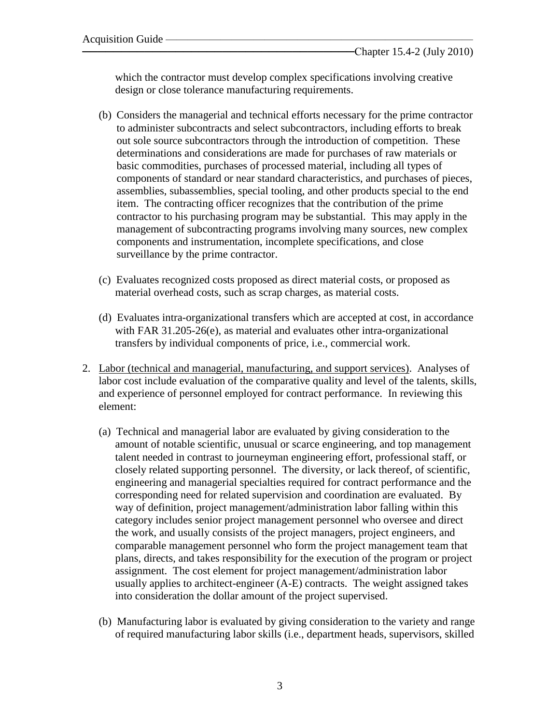which the contractor must develop complex specifications involving creative design or close tolerance manufacturing requirements.

- (b) Considers the managerial and technical efforts necessary for the prime contractor to administer subcontracts and select subcontractors, including efforts to break out sole source subcontractors through the introduction of competition. These determinations and considerations are made for purchases of raw materials or basic commodities, purchases of processed material, including all types of components of standard or near standard characteristics, and purchases of pieces, assemblies, subassemblies, special tooling, and other products special to the end item. The contracting officer recognizes that the contribution of the prime contractor to his purchasing program may be substantial. This may apply in the management of subcontracting programs involving many sources, new complex components and instrumentation, incomplete specifications, and close surveillance by the prime contractor.
- (c) Evaluates recognized costs proposed as direct material costs, or proposed as material overhead costs, such as scrap charges, as material costs.
- (d) Evaluates intra-organizational transfers which are accepted at cost, in accordance with FAR 31.205-26(e), as material and evaluates other intra-organizational transfers by individual components of price, i.e., commercial work.
- 2. Labor (technical and managerial, manufacturing, and support services). Analyses of labor cost include evaluation of the comparative quality and level of the talents, skills, and experience of personnel employed for contract performance. In reviewing this element:
	- (a) Technical and managerial labor are evaluated by giving consideration to the amount of notable scientific, unusual or scarce engineering, and top management talent needed in contrast to journeyman engineering effort, professional staff, or closely related supporting personnel. The diversity, or lack thereof, of scientific, engineering and managerial specialties required for contract performance and the corresponding need for related supervision and coordination are evaluated. By way of definition, project management/administration labor falling within this category includes senior project management personnel who oversee and direct the work, and usually consists of the project managers, project engineers, and comparable management personnel who form the project management team that plans, directs, and takes responsibility for the execution of the program or project assignment. The cost element for project management/administration labor usually applies to architect-engineer (A-E) contracts. The weight assigned takes into consideration the dollar amount of the project supervised.
	- (b) Manufacturing labor is evaluated by giving consideration to the variety and range of required manufacturing labor skills (i.e., department heads, supervisors, skilled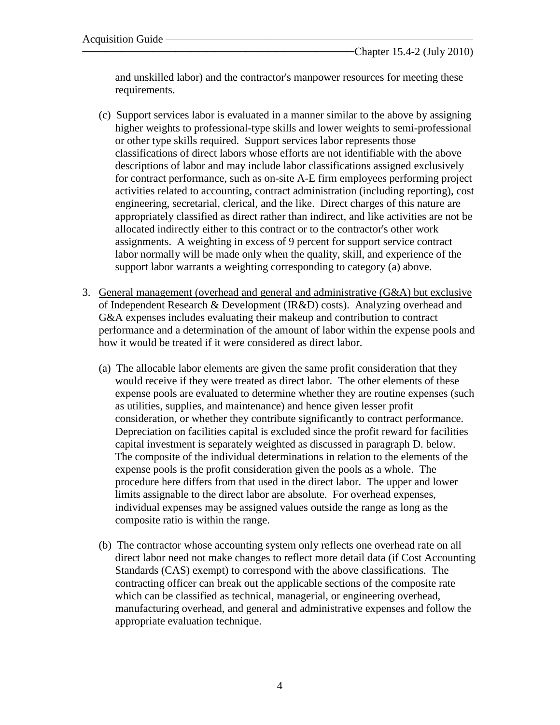and unskilled labor) and the contractor's manpower resources for meeting these requirements.

- (c) Support services labor is evaluated in a manner similar to the above by assigning higher weights to professional-type skills and lower weights to semi-professional or other type skills required. Support services labor represents those classifications of direct labors whose efforts are not identifiable with the above descriptions of labor and may include labor classifications assigned exclusively for contract performance, such as on-site A-E firm employees performing project activities related to accounting, contract administration (including reporting), cost engineering, secretarial, clerical, and the like. Direct charges of this nature are appropriately classified as direct rather than indirect, and like activities are not be allocated indirectly either to this contract or to the contractor's other work assignments. A weighting in excess of 9 percent for support service contract labor normally will be made only when the quality, skill, and experience of the support labor warrants a weighting corresponding to category (a) above.
- 3. General management (overhead and general and administrative (G&A) but exclusive of Independent Research & Development (IR&D) costs). Analyzing overhead and G&A expenses includes evaluating their makeup and contribution to contract performance and a determination of the amount of labor within the expense pools and how it would be treated if it were considered as direct labor.
	- (a) The allocable labor elements are given the same profit consideration that they would receive if they were treated as direct labor. The other elements of these expense pools are evaluated to determine whether they are routine expenses (such as utilities, supplies, and maintenance) and hence given lesser profit consideration, or whether they contribute significantly to contract performance. Depreciation on facilities capital is excluded since the profit reward for facilities capital investment is separately weighted as discussed in paragraph D. below. The composite of the individual determinations in relation to the elements of the expense pools is the profit consideration given the pools as a whole. The procedure here differs from that used in the direct labor. The upper and lower limits assignable to the direct labor are absolute. For overhead expenses, individual expenses may be assigned values outside the range as long as the composite ratio is within the range.
	- (b) The contractor whose accounting system only reflects one overhead rate on all direct labor need not make changes to reflect more detail data (if Cost Accounting Standards (CAS) exempt) to correspond with the above classifications. The contracting officer can break out the applicable sections of the composite rate which can be classified as technical, managerial, or engineering overhead, manufacturing overhead, and general and administrative expenses and follow the appropriate evaluation technique.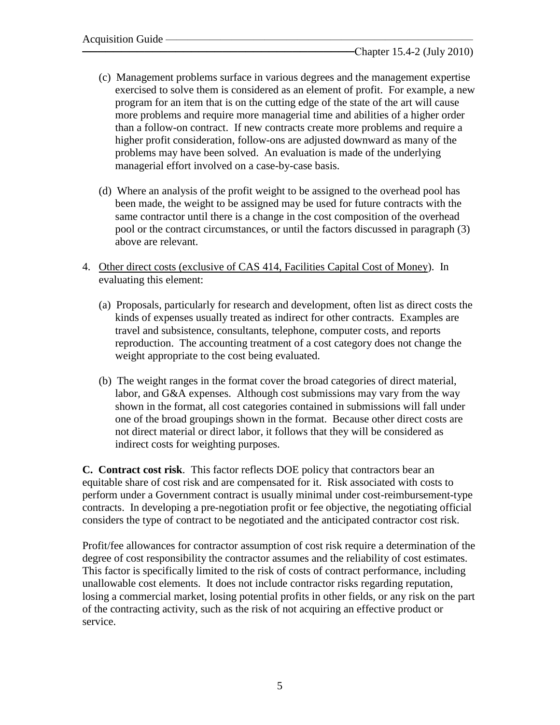- (c) Management problems surface in various degrees and the management expertise exercised to solve them is considered as an element of profit. For example, a new program for an item that is on the cutting edge of the state of the art will cause more problems and require more managerial time and abilities of a higher order than a follow-on contract. If new contracts create more problems and require a higher profit consideration, follow-ons are adjusted downward as many of the problems may have been solved. An evaluation is made of the underlying managerial effort involved on a case-by-case basis.
- (d) Where an analysis of the profit weight to be assigned to the overhead pool has been made, the weight to be assigned may be used for future contracts with the same contractor until there is a change in the cost composition of the overhead pool or the contract circumstances, or until the factors discussed in paragraph (3) above are relevant.
- 4. Other direct costs (exclusive of CAS 414, Facilities Capital Cost of Money). In evaluating this element:
	- (a) Proposals, particularly for research and development, often list as direct costs the kinds of expenses usually treated as indirect for other contracts. Examples are travel and subsistence, consultants, telephone, computer costs, and reports reproduction. The accounting treatment of a cost category does not change the weight appropriate to the cost being evaluated.
	- (b) The weight ranges in the format cover the broad categories of direct material, labor, and G&A expenses. Although cost submissions may vary from the way shown in the format, all cost categories contained in submissions will fall under one of the broad groupings shown in the format. Because other direct costs are not direct material or direct labor, it follows that they will be considered as indirect costs for weighting purposes.

**C. Contract cost risk**. This factor reflects DOE policy that contractors bear an equitable share of cost risk and are compensated for it. Risk associated with costs to perform under a Government contract is usually minimal under cost-reimbursement-type contracts. In developing a pre-negotiation profit or fee objective, the negotiating official considers the type of contract to be negotiated and the anticipated contractor cost risk.

Profit/fee allowances for contractor assumption of cost risk require a determination of the degree of cost responsibility the contractor assumes and the reliability of cost estimates. This factor is specifically limited to the risk of costs of contract performance, including unallowable cost elements. It does not include contractor risks regarding reputation, losing a commercial market, losing potential profits in other fields, or any risk on the part of the contracting activity, such as the risk of not acquiring an effective product or service.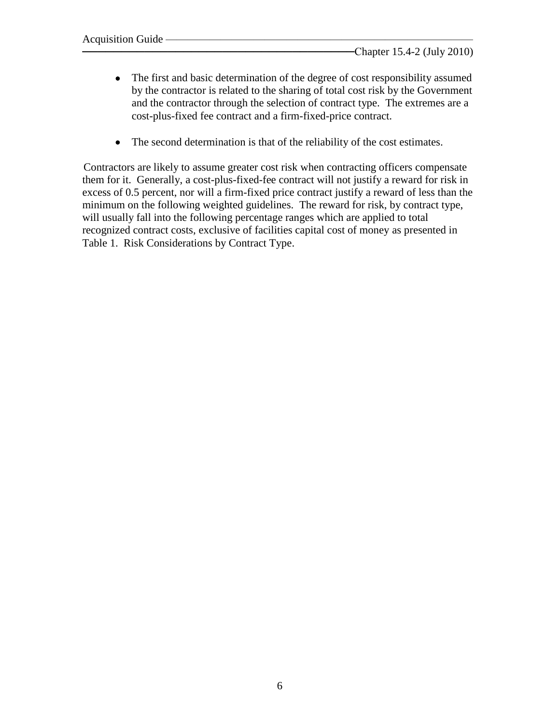- The first and basic determination of the degree of cost responsibility assumed by the contractor is related to the sharing of total cost risk by the Government and the contractor through the selection of contract type. The extremes are a cost-plus-fixed fee contract and a firm-fixed-price contract.
- The second determination is that of the reliability of the cost estimates.

Contractors are likely to assume greater cost risk when contracting officers compensate them for it. Generally, a cost-plus-fixed-fee contract will not justify a reward for risk in excess of 0.5 percent, nor will a firm-fixed price contract justify a reward of less than the minimum on the following weighted guidelines. The reward for risk, by contract type, will usually fall into the following percentage ranges which are applied to total recognized contract costs, exclusive of facilities capital cost of money as presented in Table 1. Risk Considerations by Contract Type.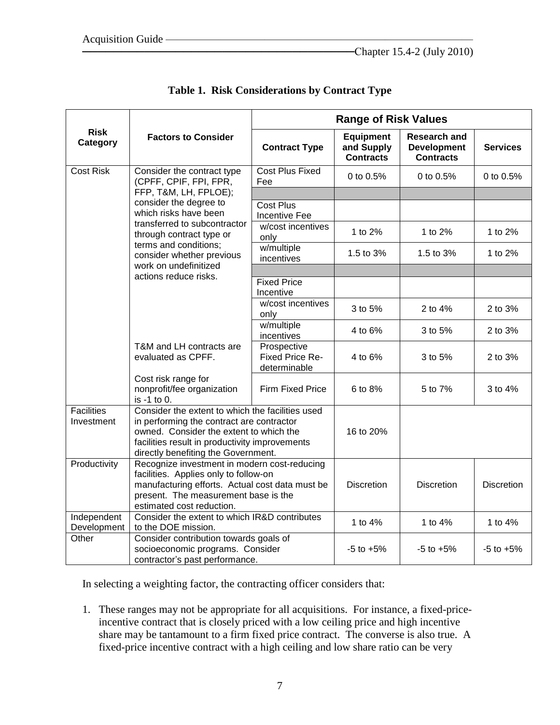|                                 |                                                                                                                                                                                                                                                                                                      | <b>Range of Risk Values</b>                    |                                                    |                                                               |                   |  |  |
|---------------------------------|------------------------------------------------------------------------------------------------------------------------------------------------------------------------------------------------------------------------------------------------------------------------------------------------------|------------------------------------------------|----------------------------------------------------|---------------------------------------------------------------|-------------------|--|--|
| <b>Risk</b><br>Category         | <b>Factors to Consider</b>                                                                                                                                                                                                                                                                           | <b>Contract Type</b>                           | <b>Equipment</b><br>and Supply<br><b>Contracts</b> | <b>Research and</b><br><b>Development</b><br><b>Contracts</b> | <b>Services</b>   |  |  |
| <b>Cost Risk</b>                | Consider the contract type<br>(CPFF, CPIF, FPI, FPR,<br>FFP, T&M, LH, FPLOE);<br>consider the degree to<br>which risks have been<br>transferred to subcontractor<br>through contract type or<br>terms and conditions;<br>consider whether previous<br>work on undefinitized<br>actions reduce risks. | Cost Plus Fixed<br>Fee                         | 0 to 0.5%                                          | 0 to 0.5%                                                     | 0 to 0.5%         |  |  |
|                                 |                                                                                                                                                                                                                                                                                                      | <b>Cost Plus</b><br><b>Incentive Fee</b>       |                                                    |                                                               |                   |  |  |
|                                 |                                                                                                                                                                                                                                                                                                      | w/cost incentives<br>only                      | 1 to 2%                                            | 1 to 2%                                                       | 1 to 2%           |  |  |
|                                 |                                                                                                                                                                                                                                                                                                      | w/multiple<br>incentives                       | 1.5 to 3%                                          | 1.5 to 3%                                                     | 1 to 2%           |  |  |
|                                 |                                                                                                                                                                                                                                                                                                      |                                                |                                                    |                                                               |                   |  |  |
|                                 |                                                                                                                                                                                                                                                                                                      | <b>Fixed Price</b><br>Incentive                |                                                    |                                                               |                   |  |  |
|                                 |                                                                                                                                                                                                                                                                                                      | w/cost incentives<br>only                      | 3 to 5%                                            | 2 to 4%                                                       | 2 to 3%           |  |  |
|                                 |                                                                                                                                                                                                                                                                                                      | w/multiple<br>incentives                       | 4 to 6%                                            | 3 to 5%                                                       | 2 to 3%           |  |  |
|                                 | T&M and LH contracts are<br>evaluated as CPFF.                                                                                                                                                                                                                                                       | Prospective<br>Fixed Price Re-<br>determinable | 4 to 6%                                            | 3 to 5%                                                       | 2 to 3%           |  |  |
|                                 | Cost risk range for<br>nonprofit/fee organization<br>is -1 to 0.                                                                                                                                                                                                                                     | Firm Fixed Price                               | 6 to 8%                                            | 5 to 7%                                                       | 3 to 4%           |  |  |
| <b>Facilities</b><br>Investment | Consider the extent to which the facilities used<br>in performing the contract are contractor<br>owned. Consider the extent to which the<br>facilities result in productivity improvements<br>directly benefiting the Government.                                                                    | 16 to 20%                                      |                                                    |                                                               |                   |  |  |
| Productivity                    | Recognize investment in modern cost-reducing<br>facilities. Applies only to follow-on<br>manufacturing efforts. Actual cost data must be<br>present. The measurement base is the<br>estimated cost reduction.                                                                                        |                                                | <b>Discretion</b>                                  | <b>Discretion</b>                                             | <b>Discretion</b> |  |  |
| Independent<br>Development      | Consider the extent to which IR&D contributes<br>to the DOE mission.                                                                                                                                                                                                                                 | 1 to 4%                                        | 1 to 4%<br>1 to 4%                                 |                                                               |                   |  |  |
| Other                           | Consider contribution towards goals of<br>socioeconomic programs. Consider<br>contractor's past performance.                                                                                                                                                                                         | $-5$ to $+5%$                                  | $-5$ to $+5%$                                      | $-5$ to $+5\%$                                                |                   |  |  |

**Table 1. Risk Considerations by Contract Type**

In selecting a weighting factor, the contracting officer considers that:

1. These ranges may not be appropriate for all acquisitions. For instance, a fixed-priceincentive contract that is closely priced with a low ceiling price and high incentive share may be tantamount to a firm fixed price contract. The converse is also true. A fixed-price incentive contract with a high ceiling and low share ratio can be very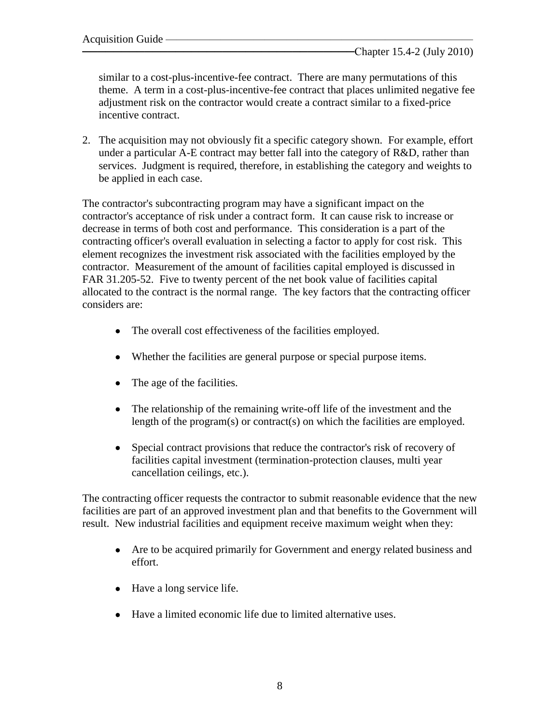similar to a cost-plus-incentive-fee contract. There are many permutations of this theme. A term in a cost-plus-incentive-fee contract that places unlimited negative fee adjustment risk on the contractor would create a contract similar to a fixed-price incentive contract.

2. The acquisition may not obviously fit a specific category shown. For example, effort under a particular A-E contract may better fall into the category of R&D, rather than services. Judgment is required, therefore, in establishing the category and weights to be applied in each case.

The contractor's subcontracting program may have a significant impact on the contractor's acceptance of risk under a contract form. It can cause risk to increase or decrease in terms of both cost and performance. This consideration is a part of the contracting officer's overall evaluation in selecting a factor to apply for cost risk. This element recognizes the investment risk associated with the facilities employed by the contractor. Measurement of the amount of facilities capital employed is discussed in FAR 31.205-52. Five to twenty percent of the net book value of facilities capital allocated to the contract is the normal range. The key factors that the contracting officer considers are:

- The overall cost effectiveness of the facilities employed.
- Whether the facilities are general purpose or special purpose items.
- The age of the facilities.
- The relationship of the remaining write-off life of the investment and the length of the program(s) or contract(s) on which the facilities are employed.
- Special contract provisions that reduce the contractor's risk of recovery of facilities capital investment (termination-protection clauses, multi year cancellation ceilings, etc.).

The contracting officer requests the contractor to submit reasonable evidence that the new facilities are part of an approved investment plan and that benefits to the Government will result. New industrial facilities and equipment receive maximum weight when they:

- Are to be acquired primarily for Government and energy related business and effort.
- Have a long service life.
- Have a limited economic life due to limited alternative uses.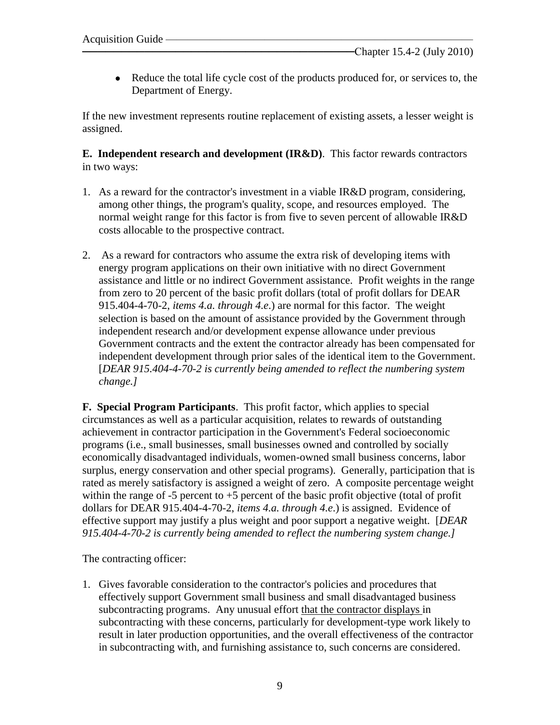• Reduce the total life cycle cost of the products produced for, or services to, the Department of Energy.

If the new investment represents routine replacement of existing assets, a lesser weight is assigned.

**E. Independent research and development (IR&D)**. This factor rewards contractors in two ways:

- 1. As a reward for the contractor's investment in a viable IR&D program, considering, among other things, the program's quality, scope, and resources employed. The normal weight range for this factor is from five to seven percent of allowable IR&D costs allocable to the prospective contract.
- 2. As a reward for contractors who assume the extra risk of developing items with energy program applications on their own initiative with no direct Government assistance and little or no indirect Government assistance. Profit weights in the range from zero to 20 percent of the basic profit dollars (total of profit dollars for DEAR 915.404-4-70-2, *items 4.a. through 4.e*.) are normal for this factor. The weight selection is based on the amount of assistance provided by the Government through independent research and/or development expense allowance under previous Government contracts and the extent the contractor already has been compensated for independent development through prior sales of the identical item to the Government. [*DEAR 915.404-4-70-2 is currently being amended to reflect the numbering system change.]*

**F. Special Program Participants**. This profit factor, which applies to special circumstances as well as a particular acquisition, relates to rewards of outstanding achievement in contractor participation in the Government's Federal socioeconomic programs (i.e., small businesses, small businesses owned and controlled by socially economically disadvantaged individuals, women-owned small business concerns, labor surplus, energy conservation and other special programs). Generally, participation that is rated as merely satisfactory is assigned a weight of zero. A composite percentage weight within the range of -5 percent to  $+5$  percent of the basic profit objective (total of profit dollars for DEAR 915.404-4-70-2, *items 4.a. through 4.e*.) is assigned. Evidence of effective support may justify a plus weight and poor support a negative weight. [*DEAR 915.404-4-70-2 is currently being amended to reflect the numbering system change.]*

The contracting officer:

1. Gives favorable consideration to the contractor's policies and procedures that effectively support Government small business and small disadvantaged business subcontracting programs. Any unusual effort that the contractor displays in subcontracting with these concerns, particularly for development-type work likely to result in later production opportunities, and the overall effectiveness of the contractor in subcontracting with, and furnishing assistance to, such concerns are considered.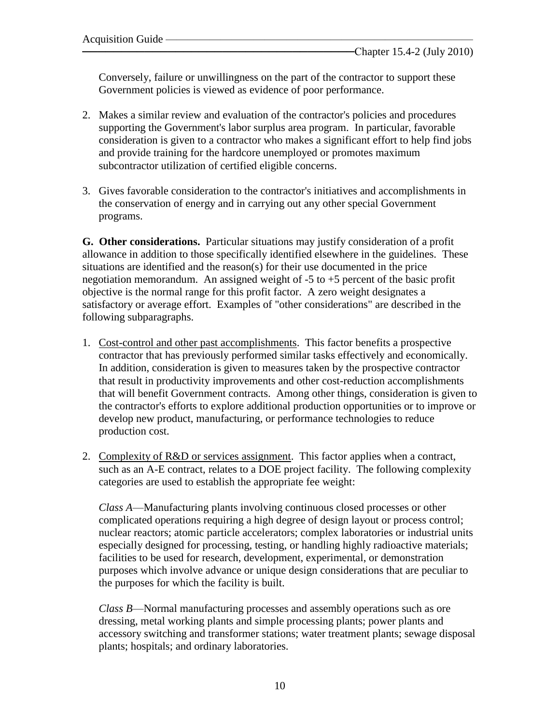Conversely, failure or unwillingness on the part of the contractor to support these Government policies is viewed as evidence of poor performance.

- 2. Makes a similar review and evaluation of the contractor's policies and procedures supporting the Government's labor surplus area program. In particular, favorable consideration is given to a contractor who makes a significant effort to help find jobs and provide training for the hardcore unemployed or promotes maximum subcontractor utilization of certified eligible concerns.
- 3. Gives favorable consideration to the contractor's initiatives and accomplishments in the conservation of energy and in carrying out any other special Government programs.

**G. Other considerations.** Particular situations may justify consideration of a profit allowance in addition to those specifically identified elsewhere in the guidelines. These situations are identified and the reason(s) for their use documented in the price negotiation memorandum. An assigned weight of  $-5$  to  $+5$  percent of the basic profit objective is the normal range for this profit factor. A zero weight designates a satisfactory or average effort. Examples of "other considerations" are described in the following subparagraphs.

- 1. Cost-control and other past accomplishments. This factor benefits a prospective contractor that has previously performed similar tasks effectively and economically. In addition, consideration is given to measures taken by the prospective contractor that result in productivity improvements and other cost-reduction accomplishments that will benefit Government contracts. Among other things, consideration is given to the contractor's efforts to explore additional production opportunities or to improve or develop new product, manufacturing, or performance technologies to reduce production cost.
- 2. Complexity of R&D or services assignment. This factor applies when a contract, such as an A-E contract, relates to a DOE project facility. The following complexity categories are used to establish the appropriate fee weight:

*Class A*—Manufacturing plants involving continuous closed processes or other complicated operations requiring a high degree of design layout or process control; nuclear reactors; atomic particle accelerators; complex laboratories or industrial units especially designed for processing, testing, or handling highly radioactive materials; facilities to be used for research, development, experimental, or demonstration purposes which involve advance or unique design considerations that are peculiar to the purposes for which the facility is built.

*Class B*—Normal manufacturing processes and assembly operations such as ore dressing, metal working plants and simple processing plants; power plants and accessory switching and transformer stations; water treatment plants; sewage disposal plants; hospitals; and ordinary laboratories.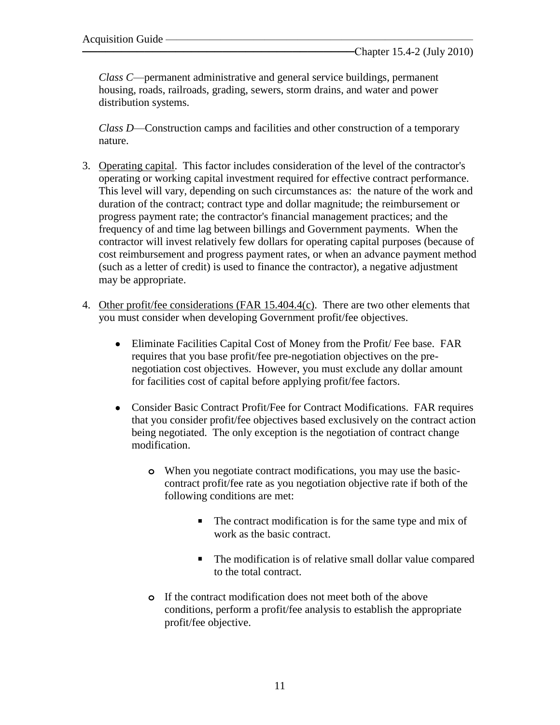*Class C*—permanent administrative and general service buildings, permanent housing, roads, railroads, grading, sewers, storm drains, and water and power distribution systems.

*Class D*—Construction camps and facilities and other construction of a temporary nature.

- 3. Operating capital. This factor includes consideration of the level of the contractor's operating or working capital investment required for effective contract performance. This level will vary, depending on such circumstances as: the nature of the work and duration of the contract; contract type and dollar magnitude; the reimbursement or progress payment rate; the contractor's financial management practices; and the frequency of and time lag between billings and Government payments. When the contractor will invest relatively few dollars for operating capital purposes (because of cost reimbursement and progress payment rates, or when an advance payment method (such as a letter of credit) is used to finance the contractor), a negative adjustment may be appropriate.
- 4. Other profit/fee considerations (FAR 15.404.4(c). There are two other elements that you must consider when developing Government profit/fee objectives.
	- Eliminate Facilities Capital Cost of Money from the Profit/ Fee base. FAR requires that you base profit/fee pre-negotiation objectives on the prenegotiation cost objectives. However, you must exclude any dollar amount for facilities cost of capital before applying profit/fee factors.
	- Consider Basic Contract Profit/Fee for Contract Modifications. FAR requires that you consider profit/fee objectives based exclusively on the contract action being negotiated. The only exception is the negotiation of contract change modification.
		- **o** When you negotiate contract modifications, you may use the basiccontract profit/fee rate as you negotiation objective rate if both of the following conditions are met:
			- The contract modification is for the same type and mix of work as the basic contract.
			- The modification is of relative small dollar value compared to the total contract.
		- **o** If the contract modification does not meet both of the above conditions, perform a profit/fee analysis to establish the appropriate profit/fee objective.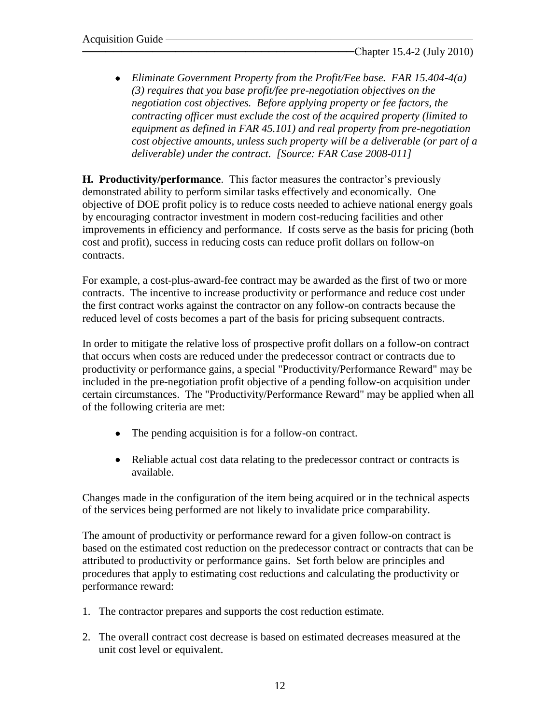*Eliminate Government Property from the Profit/Fee base. FAR 15.404-4(a) (3) requires that you base profit/fee pre-negotiation objectives on the negotiation cost objectives. Before applying property or fee factors, the contracting officer must exclude the cost of the acquired property (limited to equipment as defined in FAR 45.101) and real property from pre-negotiation cost objective amounts, unless such property will be a deliverable (or part of a deliverable) under the contract. [Source: FAR Case 2008-011]*

**H. Productivity/performance**. This factor measures the contractor's previously demonstrated ability to perform similar tasks effectively and economically. One objective of DOE profit policy is to reduce costs needed to achieve national energy goals by encouraging contractor investment in modern cost-reducing facilities and other improvements in efficiency and performance. If costs serve as the basis for pricing (both cost and profit), success in reducing costs can reduce profit dollars on follow-on contracts.

For example, a cost-plus-award-fee contract may be awarded as the first of two or more contracts. The incentive to increase productivity or performance and reduce cost under the first contract works against the contractor on any follow-on contracts because the reduced level of costs becomes a part of the basis for pricing subsequent contracts.

In order to mitigate the relative loss of prospective profit dollars on a follow-on contract that occurs when costs are reduced under the predecessor contract or contracts due to productivity or performance gains, a special "Productivity/Performance Reward" may be included in the pre-negotiation profit objective of a pending follow-on acquisition under certain circumstances. The "Productivity/Performance Reward" may be applied when all of the following criteria are met:

- The pending acquisition is for a follow-on contract.
- Reliable actual cost data relating to the predecessor contract or contracts is available.

Changes made in the configuration of the item being acquired or in the technical aspects of the services being performed are not likely to invalidate price comparability.

The amount of productivity or performance reward for a given follow-on contract is based on the estimated cost reduction on the predecessor contract or contracts that can be attributed to productivity or performance gains. Set forth below are principles and procedures that apply to estimating cost reductions and calculating the productivity or performance reward:

- 1. The contractor prepares and supports the cost reduction estimate.
- 2. The overall contract cost decrease is based on estimated decreases measured at the unit cost level or equivalent.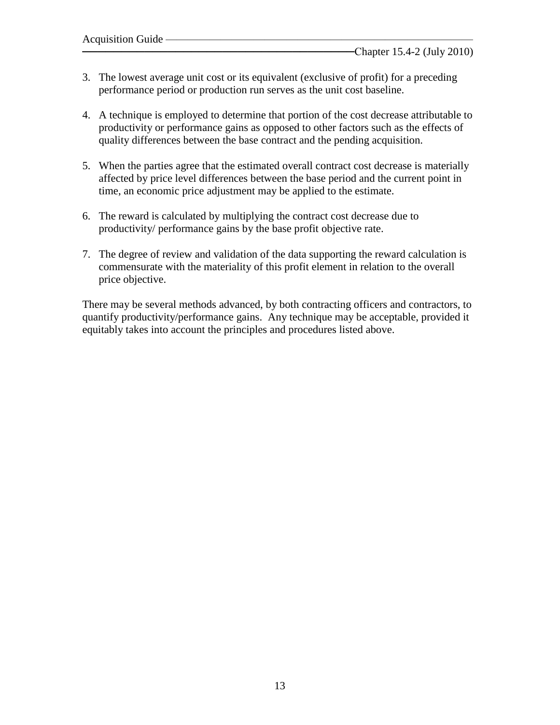- 3. The lowest average unit cost or its equivalent (exclusive of profit) for a preceding performance period or production run serves as the unit cost baseline.
- 4. A technique is employed to determine that portion of the cost decrease attributable to productivity or performance gains as opposed to other factors such as the effects of quality differences between the base contract and the pending acquisition.
- 5. When the parties agree that the estimated overall contract cost decrease is materially affected by price level differences between the base period and the current point in time, an economic price adjustment may be applied to the estimate.
- 6. The reward is calculated by multiplying the contract cost decrease due to productivity/ performance gains by the base profit objective rate.
- 7. The degree of review and validation of the data supporting the reward calculation is commensurate with the materiality of this profit element in relation to the overall price objective.

There may be several methods advanced, by both contracting officers and contractors, to quantify productivity/performance gains. Any technique may be acceptable, provided it equitably takes into account the principles and procedures listed above.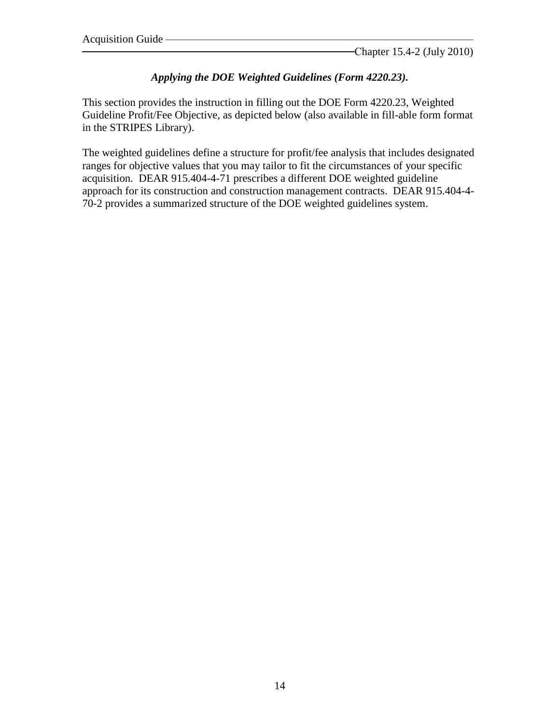#### *Applying the DOE Weighted Guidelines (Form 4220.23).*

This section provides the instruction in filling out the DOE Form 4220.23, Weighted Guideline Profit/Fee Objective, as depicted below (also available in fill-able form format in the STRIPES Library).

The weighted guidelines define a structure for profit/fee analysis that includes designated ranges for objective values that you may tailor to fit the circumstances of your specific acquisition. DEAR 915.404-4-71 prescribes a different DOE weighted guideline approach for its construction and construction management contracts. DEAR 915.404-4- 70-2 provides a summarized structure of the DOE weighted guidelines system.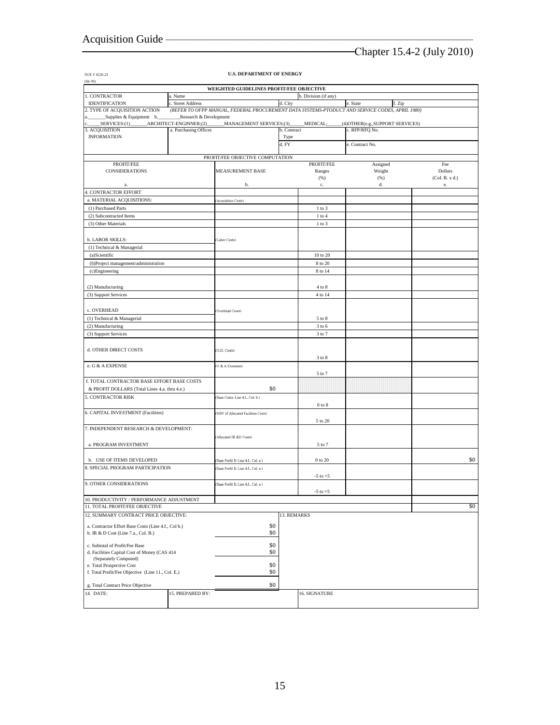DOE F 4220.23

## ───────────────────────────────────Chapter 15.4-2 (July 2010)

| $(06-95)$                                                                      |                                                  |                                      |             |                      |                                                                                                |                       |  |  |  |
|--------------------------------------------------------------------------------|--------------------------------------------------|--------------------------------------|-------------|----------------------|------------------------------------------------------------------------------------------------|-----------------------|--|--|--|
| WEIGHTED GUIDELINES PROFIT/FEE OBJECTIVE                                       |                                                  |                                      |             |                      |                                                                                                |                       |  |  |  |
| 1. CONTRACTOR                                                                  | a. Name                                          |                                      |             | b. Division (if any) |                                                                                                |                       |  |  |  |
| <b>IDENTIFICATION</b>                                                          | c. Street Address                                |                                      | d. City     |                      | e. State<br>f. Zip                                                                             |                       |  |  |  |
| 2. TYPE OF ACQUISITION ACTION                                                  |                                                  |                                      |             |                      | (REFER TO OFPP MANUAL, FEDERAL PROCUREMENT DATA SYSTEMS-PTODUCT AND SERVICE CODES, APRIL 1980) |                       |  |  |  |
| _Supplies & Equipment b.<br>SERVICES:(1)                                       | Research & Development<br>ARCHITECT-ENGINNER;(2) | MANAGEMENT SERVICES;(3)              |             | MEDICAL;             | (4) OTHER(e.g., SUPPORT SERVICES)                                                              |                       |  |  |  |
| 3. ACQUISITION                                                                 | a. Purchasing Offices                            |                                      | b. Contract |                      | c. RFP/RFQ No.                                                                                 |                       |  |  |  |
| <b>INFORMATION</b>                                                             |                                                  |                                      | Type        |                      |                                                                                                |                       |  |  |  |
|                                                                                |                                                  |                                      | d. FY       |                      | e. Contract No.                                                                                |                       |  |  |  |
|                                                                                |                                                  |                                      |             |                      |                                                                                                |                       |  |  |  |
|                                                                                |                                                  | PROFIT/FEE OBJECTIVE COMPUTATION     |             |                      |                                                                                                |                       |  |  |  |
| PROFIT/FEE<br><b>CONSIDERATIONS</b>                                            |                                                  | <b>MEASUREMENT BASE</b>              |             | PROFIT/FEE<br>Ranges | Assigned<br>Weight                                                                             | Fee<br><b>Dollars</b> |  |  |  |
|                                                                                |                                                  |                                      |             | (% )                 | (% )                                                                                           | (Col. B. x d.)        |  |  |  |
| a.                                                                             |                                                  | b.                                   |             | $\mathbf{c}.$        | d.                                                                                             | e.                    |  |  |  |
| 4. CONTRACTOR EFFORT                                                           |                                                  |                                      |             |                      |                                                                                                |                       |  |  |  |
| a. MATERIAL ACQUISITIONS:                                                      | <b>Acquisition Costs)</b>                        |                                      |             |                      |                                                                                                |                       |  |  |  |
| (1) Purchased Parts                                                            |                                                  |                                      |             | $1$ to $3$           |                                                                                                |                       |  |  |  |
| (2) Subcontracted Items                                                        |                                                  |                                      | $1$ to $4$  |                      |                                                                                                |                       |  |  |  |
| (3) Other Materials                                                            |                                                  |                                      |             | $1$ to $3$           |                                                                                                |                       |  |  |  |
|                                                                                |                                                  |                                      |             |                      |                                                                                                |                       |  |  |  |
| b. LABOR SKILLS:                                                               |                                                  | (Labor Costs)                        |             |                      |                                                                                                |                       |  |  |  |
| (1) Technical & Managerial                                                     |                                                  |                                      |             |                      |                                                                                                |                       |  |  |  |
| (a)Scientific                                                                  |                                                  |                                      | 10 to 20    |                      |                                                                                                |                       |  |  |  |
| (b)Project management/administration                                           |                                                  |                                      |             | 8 to 20              |                                                                                                |                       |  |  |  |
| (c)Engineering                                                                 |                                                  |                                      |             | 8 to 14              |                                                                                                |                       |  |  |  |
|                                                                                |                                                  |                                      |             |                      |                                                                                                |                       |  |  |  |
| (2) Manufacturing                                                              |                                                  |                                      |             | $4$ to $8$           |                                                                                                |                       |  |  |  |
| (3) Support Services                                                           |                                                  |                                      |             | 4 to 14              |                                                                                                |                       |  |  |  |
|                                                                                |                                                  |                                      |             |                      |                                                                                                |                       |  |  |  |
| c. OVERHEAD                                                                    |                                                  | Overhead Costs)                      |             |                      |                                                                                                |                       |  |  |  |
| (1) Technical & Managerial                                                     |                                                  |                                      |             | 5 to 8               |                                                                                                |                       |  |  |  |
| (2) Manufacturing                                                              |                                                  |                                      |             | 3 to 6               |                                                                                                |                       |  |  |  |
| (3) Support Services                                                           |                                                  |                                      |             | 3 to 7               |                                                                                                |                       |  |  |  |
|                                                                                |                                                  |                                      |             |                      |                                                                                                |                       |  |  |  |
| d. OTHER DIRECT COSTS                                                          |                                                  | (O.D. Costs)                         |             |                      |                                                                                                |                       |  |  |  |
|                                                                                |                                                  |                                      |             | 3 to 8               |                                                                                                |                       |  |  |  |
| e. G & A EXPENSE                                                               | G & A Expenses)                                  |                                      |             |                      |                                                                                                |                       |  |  |  |
|                                                                                |                                                  |                                      | 5 to 7      |                      |                                                                                                |                       |  |  |  |
| f. TOTAL CONTRACTOR BASE EFFORT BASE COSTS                                     |                                                  |                                      |             |                      |                                                                                                |                       |  |  |  |
| & PROFIT DOLLARS (Total Lines 4.a. thru 4.e.)                                  |                                                  | \$0                                  |             |                      |                                                                                                |                       |  |  |  |
| 5. CONTRACTOR RISK                                                             |                                                  | Base Costs: Line 4.f., Col. b.)      |             |                      |                                                                                                |                       |  |  |  |
|                                                                                |                                                  |                                      |             | $0$ to $8\,$         |                                                                                                |                       |  |  |  |
|                                                                                |                                                  |                                      |             |                      |                                                                                                |                       |  |  |  |
| 6. CAPITAL INVESTMENT (Facilities)                                             |                                                  | NBV of Allocated Facilities Costs)   |             |                      |                                                                                                |                       |  |  |  |
|                                                                                |                                                  |                                      |             | 5 to 20              |                                                                                                |                       |  |  |  |
| 7. INDEPENDENT RESEARCH & DEVELOPMENT:                                         |                                                  |                                      |             |                      |                                                                                                |                       |  |  |  |
|                                                                                |                                                  | Allocated IR &D Costs)               |             |                      |                                                                                                |                       |  |  |  |
| a. PROGRAM INVESTMENT                                                          |                                                  |                                      |             | 5 to 7               |                                                                                                |                       |  |  |  |
|                                                                                |                                                  |                                      |             |                      |                                                                                                |                       |  |  |  |
| b. USE OF ITEMS DEVELOPED                                                      |                                                  | Base Profit \$: Line 4.f., Col. e.)  |             | $0$ to $20\,$        |                                                                                                | \$0                   |  |  |  |
| 8. SPECIAL PROGRAM PARTICIPATION                                               |                                                  | Base Profit \$: Line 4.f., Col. e.)  |             |                      |                                                                                                |                       |  |  |  |
| 9. OTHER CONSIDERATIONS                                                        |                                                  |                                      |             | $-5$ to $+5$         |                                                                                                |                       |  |  |  |
|                                                                                |                                                  | (Base Profit \$: Line 4.f., Col. e.) |             |                      |                                                                                                |                       |  |  |  |
|                                                                                |                                                  |                                      |             | $-5$ to $+5$         |                                                                                                |                       |  |  |  |
| 10. PRODUCTIVITY / PERFORMANCE ADJUSTMENT                                      |                                                  |                                      |             |                      | \$0                                                                                            |                       |  |  |  |
| 11. TOTAL PROFIT/FEE OBJECTIVE                                                 |                                                  |                                      |             |                      |                                                                                                |                       |  |  |  |
| 12. SUMMARY CONTRACT PRICE OBJECTIVE:                                          |                                                  |                                      | 13. REMARKS |                      |                                                                                                |                       |  |  |  |
| a. Contractor Effort Base Costs (Line 4.f., Col b.)                            | \$0                                              |                                      |             |                      |                                                                                                |                       |  |  |  |
| b. IR & D Cost (Line 7.a., Col. B.)                                            |                                                  | \$0                                  |             |                      |                                                                                                |                       |  |  |  |
|                                                                                | \$0                                              |                                      |             |                      |                                                                                                |                       |  |  |  |
| c. Subtotal of Profit/Fee Base<br>d. Facilities Capital Cost of Money (CAS 414 | \$0                                              |                                      |             |                      |                                                                                                |                       |  |  |  |
| (Separately Computed)                                                          |                                                  |                                      |             |                      |                                                                                                |                       |  |  |  |
| e. Total Prospective Cost                                                      | \$0                                              |                                      |             |                      |                                                                                                |                       |  |  |  |
| f. Total Profit/Fee Objective (Line 11., Col. E.)                              | \$0                                              |                                      |             |                      |                                                                                                |                       |  |  |  |
|                                                                                |                                                  |                                      |             |                      |                                                                                                |                       |  |  |  |
| g. Total Contract Price Objective                                              |                                                  | \$0                                  |             |                      |                                                                                                |                       |  |  |  |
| 14. DATE:                                                                      | 15. PREPARED BY:                                 |                                      |             | 16. SIGNATURE        |                                                                                                |                       |  |  |  |
|                                                                                |                                                  |                                      |             |                      |                                                                                                |                       |  |  |  |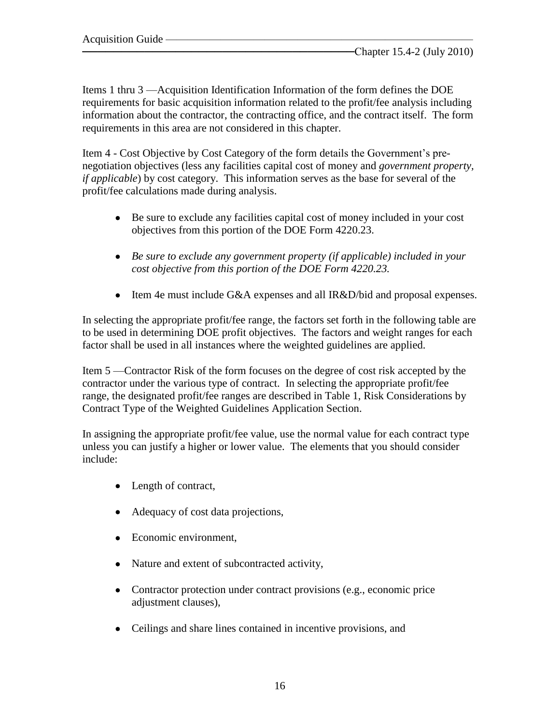Items 1 thru 3 —Acquisition Identification Information of the form defines the DOE requirements for basic acquisition information related to the profit/fee analysis including information about the contractor, the contracting office, and the contract itself. The form requirements in this area are not considered in this chapter.

Item 4 - Cost Objective by Cost Category of the form details the Government's prenegotiation objectives (less any facilities capital cost of money and *government property, if applicable*) by cost category. This information serves as the base for several of the profit/fee calculations made during analysis.

- Be sure to exclude any facilities capital cost of money included in your cost objectives from this portion of the DOE Form 4220.23.
- *Be sure to exclude any government property (if applicable) included in your cost objective from this portion of the DOE Form 4220.23.*
- Item 4e must include G&A expenses and all IR&D/bid and proposal expenses.

In selecting the appropriate profit/fee range, the factors set forth in the following table are to be used in determining DOE profit objectives. The factors and weight ranges for each factor shall be used in all instances where the weighted guidelines are applied.

Item 5 —Contractor Risk of the form focuses on the degree of cost risk accepted by the contractor under the various type of contract. In selecting the appropriate profit/fee range, the designated profit/fee ranges are described in Table 1, Risk Considerations by Contract Type of the Weighted Guidelines Application Section.

In assigning the appropriate profit/fee value, use the normal value for each contract type unless you can justify a higher or lower value. The elements that you should consider include:

- Length of contract,
- Adequacy of cost data projections,
- Economic environment,
- Nature and extent of subcontracted activity,
- Contractor protection under contract provisions (e.g., economic price adjustment clauses),
- Ceilings and share lines contained in incentive provisions, and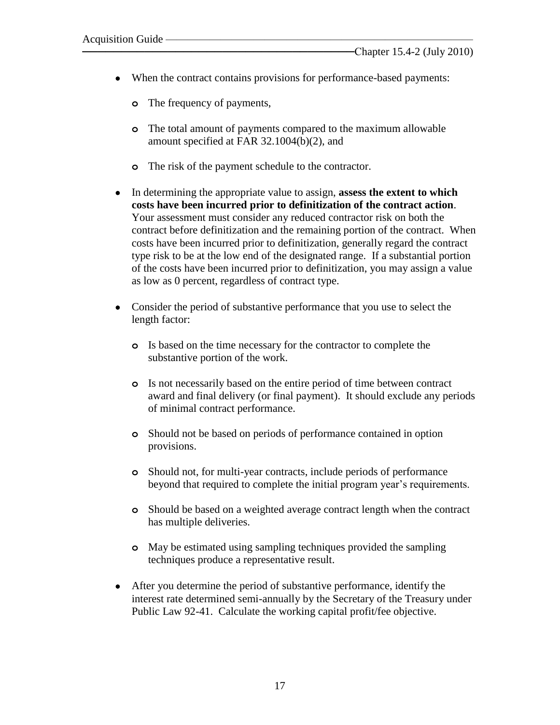- When the contract contains provisions for performance-based payments:
	- **o** The frequency of payments,
	- **o** The total amount of payments compared to the maximum allowable amount specified at FAR 32.1004(b)(2), and
	- **o** The risk of the payment schedule to the contractor.
- In determining the appropriate value to assign, **assess the extent to which costs have been incurred prior to definitization of the contract action**. Your assessment must consider any reduced contractor risk on both the contract before definitization and the remaining portion of the contract. When costs have been incurred prior to definitization, generally regard the contract type risk to be at the low end of the designated range. If a substantial portion of the costs have been incurred prior to definitization, you may assign a value as low as 0 percent, regardless of contract type.
- Consider the period of substantive performance that you use to select the length factor:
	- **o** Is based on the time necessary for the contractor to complete the substantive portion of the work.
	- **o** Is not necessarily based on the entire period of time between contract award and final delivery (or final payment). It should exclude any periods of minimal contract performance.
	- **o** Should not be based on periods of performance contained in option provisions.
	- **o** Should not, for multi-year contracts, include periods of performance beyond that required to complete the initial program year's requirements.
	- **o** Should be based on a weighted average contract length when the contract has multiple deliveries.
	- **o** May be estimated using sampling techniques provided the sampling techniques produce a representative result.
- After you determine the period of substantive performance, identify the interest rate determined semi-annually by the Secretary of the Treasury under Public Law 92-41. Calculate the working capital profit/fee objective.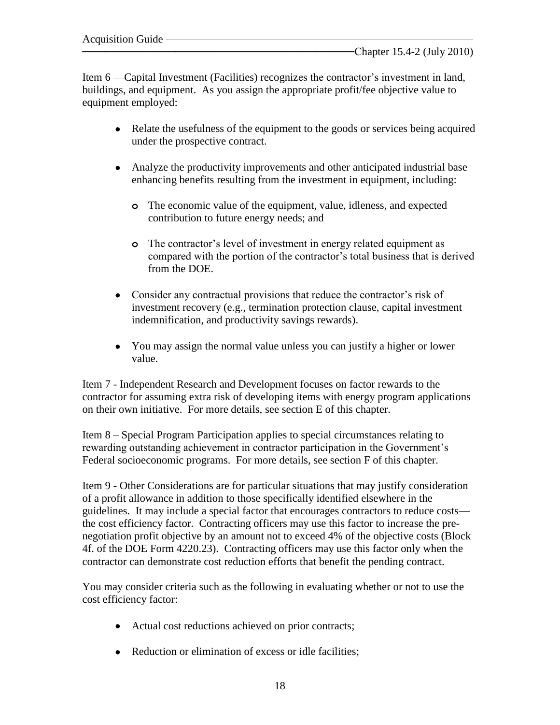Item 6 —Capital Investment (Facilities) recognizes the contractor's investment in land, buildings, and equipment. As you assign the appropriate profit/fee objective value to equipment employed:

- Relate the usefulness of the equipment to the goods or services being acquired under the prospective contract.
- Analyze the productivity improvements and other anticipated industrial base enhancing benefits resulting from the investment in equipment, including:
	- **o** The economic value of the equipment, value, idleness, and expected contribution to future energy needs; and
	- **o** The contractor's level of investment in energy related equipment as compared with the portion of the contractor's total business that is derived from the DOE.
- Consider any contractual provisions that reduce the contractor's risk of investment recovery (e.g., termination protection clause, capital investment indemnification, and productivity savings rewards).
- You may assign the normal value unless you can justify a higher or lower value.

Item 7 - Independent Research and Development focuses on factor rewards to the contractor for assuming extra risk of developing items with energy program applications on their own initiative. For more details, see section E of this chapter.

Item 8 – Special Program Participation applies to special circumstances relating to rewarding outstanding achievement in contractor participation in the Government's Federal socioeconomic programs. For more details, see section F of this chapter.

Item 9 - Other Considerations are for particular situations that may justify consideration of a profit allowance in addition to those specifically identified elsewhere in the guidelines. It may include a special factor that encourages contractors to reduce costs the cost efficiency factor. Contracting officers may use this factor to increase the prenegotiation profit objective by an amount not to exceed 4% of the objective costs (Block 4f. of the DOE Form 4220.23). Contracting officers may use this factor only when the contractor can demonstrate cost reduction efforts that benefit the pending contract.

You may consider criteria such as the following in evaluating whether or not to use the cost efficiency factor:

- Actual cost reductions achieved on prior contracts;
- Reduction or elimination of excess or idle facilities;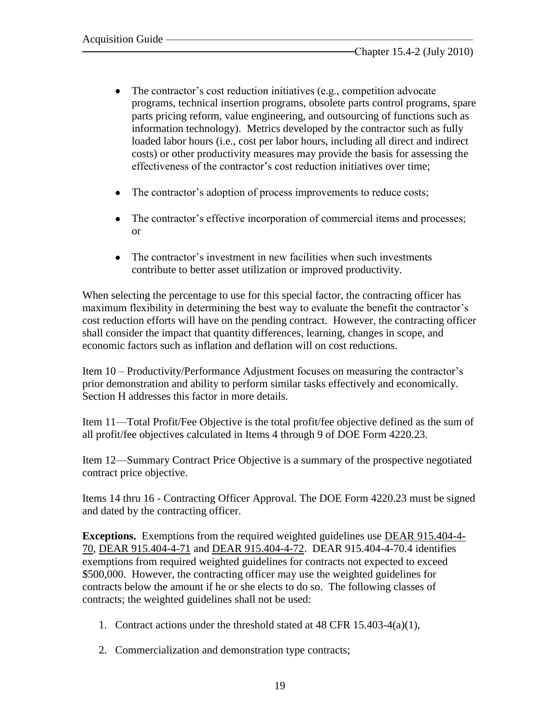- The contractor's cost reduction initiatives (e.g., competition advocate programs, technical insertion programs, obsolete parts control programs, spare parts pricing reform, value engineering, and outsourcing of functions such as information technology). Metrics developed by the contractor such as fully loaded labor hours (i.e., cost per labor hours, including all direct and indirect costs) or other productivity measures may provide the basis for assessing the effectiveness of the contractor's cost reduction initiatives over time;
- The contractor's adoption of process improvements to reduce costs;
- The contractor's effective incorporation of commercial items and processes; or
- The contractor's investment in new facilities when such investments contribute to better asset utilization or improved productivity.

When selecting the percentage to use for this special factor, the contracting officer has maximum flexibility in determining the best way to evaluate the benefit the contractor's cost reduction efforts will have on the pending contract. However, the contracting officer shall consider the impact that quantity differences, learning, changes in scope, and economic factors such as inflation and deflation will on cost reductions.

Item 10 – Productivity/Performance Adjustment focuses on measuring the contractor's prior demonstration and ability to perform similar tasks effectively and economically. Section H addresses this factor in more details.

Item 11—Total Profit/Fee Objective is the total profit/fee objective defined as the sum of all profit/fee objectives calculated in Items 4 through 9 of DOE Form 4220.23.

Item 12—Summary Contract Price Objective is a summary of the prospective negotiated contract price objective.

Items 14 thru 16 - Contracting Officer Approval. The DOE Form 4220.23 must be signed and dated by the contracting officer.

**Exceptions.** Exemptions from the required weighted guidelines use DEAR 915.404-4- 70, DEAR 915.404-4-71 and DEAR 915.404-4-72. DEAR 915.404-4-70.4 identifies exemptions from required weighted guidelines for contracts not expected to exceed \$500,000. However, the contracting officer may use the weighted guidelines for contracts below the amount if he or she elects to do so. The following classes of contracts; the weighted guidelines shall not be used:

- 1. Contract actions under the threshold stated at 48 CFR 15.403-4(a)(1),
- 2. Commercialization and demonstration type contracts;